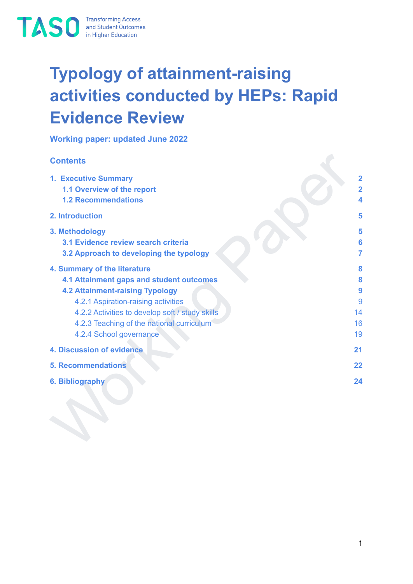

# **Typology of attainment-raising activities conducted by HEPs: Rapid Evidence Review**

**Working paper: updated June 2022**

#### **Contents**

| <b>Contents</b>                                                                                                                                                                                                                                                                             |                                                |
|---------------------------------------------------------------------------------------------------------------------------------------------------------------------------------------------------------------------------------------------------------------------------------------------|------------------------------------------------|
| 1. Executive Summary<br>1.1 Overview of the report<br><b>1.2 Recommendations</b>                                                                                                                                                                                                            | $\overline{\mathbf{2}}$<br>$\overline{2}$<br>4 |
| 2. Introduction                                                                                                                                                                                                                                                                             | 5                                              |
| 3. Methodology<br>3.1 Evidence review search criteria<br>3.2 Approach to developing the typology                                                                                                                                                                                            | 5<br>6<br>7                                    |
| 4. Summary of the literature<br><b>4.1 Attainment gaps and student outcomes</b><br><b>4.2 Attainment-raising Typology</b><br>4.2.1 Aspiration-raising activities<br>4.2.2 Activities to develop soft / study skills<br>4.2.3 Teaching of the national curriculum<br>4.2.4 School governance | 8<br>8<br>9<br>9<br>14<br>16<br>19             |
| 4. Discussion of evidence                                                                                                                                                                                                                                                                   | 21                                             |
| <b>5. Recommendations</b>                                                                                                                                                                                                                                                                   | 22                                             |
| <b>6. Bibliography</b>                                                                                                                                                                                                                                                                      | 24                                             |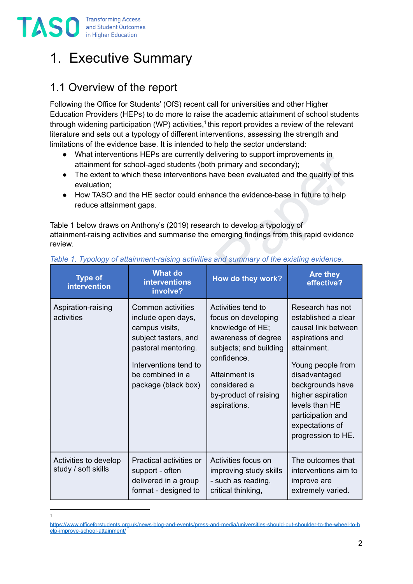

1

## <span id="page-1-0"></span>1. Executive Summary

## <span id="page-1-1"></span>1.1 Overview of the report

Following the Office for Students' (OfS) recent call for universities and other Higher Education Providers (HEPs) to do more to raise the academic attainment of school students through widening participation (WP) activities,<sup>1</sup> this report provides a review of the relevant literature and sets out a typology of different interventions, assessing the strength and limitations of the evidence base. It is intended to help the sector understand:

- What interventions HEPs are currently delivering to support improvements in attainment for school-aged students (both primary and secondary);
- The extent to which these interventions have been evaluated and the quality of this evaluation;
- How TASO and the HE sector could enhance the evidence-base in future to help reduce attainment gaps.

| $\bullet$<br>$\bullet$<br>evaluation;<br>$\bullet$<br>reduce attainment gaps.<br>review. |                                                                                                                                                                              | What interventions HEPs are currently delivering to support improvements in<br>attainment for school-aged students (both primary and secondary);<br>The extent to which these interventions have been evaluated and the quality of this<br>How TASO and the HE sector could enhance the evidence-base in future to help<br>Table 1 below draws on Anthony's (2019) research to develop a typology of<br>attainment-raising activities and summarise the emerging findings from this rapid evidence<br>Table 1. Typology of attainment-raising activities and summary of the existing evidence. |                                                                                                                                                                                                                                                                 |
|------------------------------------------------------------------------------------------|------------------------------------------------------------------------------------------------------------------------------------------------------------------------------|------------------------------------------------------------------------------------------------------------------------------------------------------------------------------------------------------------------------------------------------------------------------------------------------------------------------------------------------------------------------------------------------------------------------------------------------------------------------------------------------------------------------------------------------------------------------------------------------|-----------------------------------------------------------------------------------------------------------------------------------------------------------------------------------------------------------------------------------------------------------------|
| <b>Type of</b><br>intervention                                                           | <b>What do</b><br><b>interventions</b><br>involve?                                                                                                                           | How do they work?                                                                                                                                                                                                                                                                                                                                                                                                                                                                                                                                                                              | Are they<br>effective?                                                                                                                                                                                                                                          |
| Aspiration-raising<br>activities                                                         | Common activities<br>include open days,<br>campus visits,<br>subject tasters, and<br>pastoral mentoring.<br>Interventions tend to<br>be combined in a<br>package (black box) | Activities tend to<br>focus on developing<br>knowledge of HE;<br>awareness of degree<br>subjects; and building<br>confidence.<br>Attainment is<br>considered a<br>by-product of raising<br>aspirations.                                                                                                                                                                                                                                                                                                                                                                                        | Research has not<br>established a clear<br>causal link between<br>aspirations and<br>attainment.<br>Young people from<br>disadvantaged<br>backgrounds have<br>higher aspiration<br>levels than HE<br>participation and<br>expectations of<br>progression to HE. |
| Activities to develop<br>study / soft skills                                             | Practical activities or<br>support - often<br>delivered in a group<br>format - designed to                                                                                   | Activities focus on<br>improving study skills<br>- such as reading,<br>critical thinking,                                                                                                                                                                                                                                                                                                                                                                                                                                                                                                      | The outcomes that<br>interventions aim to<br>improve are<br>extremely varied.                                                                                                                                                                                   |

#### <span id="page-1-2"></span>*Table 1. Typology of attainment-raising activities and summary of the existing evidence.*

[https://www.officeforstudents.org.uk/news-blog-and-events/press-and-media/universities-should-put-shoulder-to-the-wheel-to-h](https://www.officeforstudents.org.uk/news-blog-and-events/press-and-media/universities-should-put-shoulder-to-the-wheel-to-help-improve-school-attainment/) [elp-improve-school-attainment/](https://www.officeforstudents.org.uk/news-blog-and-events/press-and-media/universities-should-put-shoulder-to-the-wheel-to-help-improve-school-attainment/)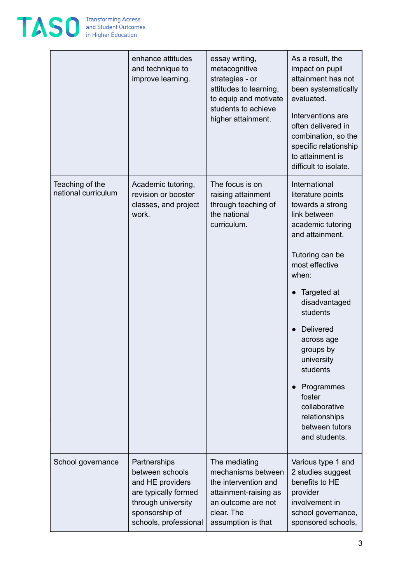

|                                        | enhance attitudes<br>and technique to<br>improve learning.                                                                                   | essay writing,<br>metacognitive<br>strategies - or<br>attitudes to learning,<br>to equip and motivate<br>students to achieve<br>higher attainment. | As a result, the<br>impact on pupil<br>attainment has not<br>been systematically<br>evaluated.<br>Interventions are<br>often delivered in<br>combination, so the<br>specific relationship<br>to attainment is<br>difficult to isolate.                                                                                                                                  |
|----------------------------------------|----------------------------------------------------------------------------------------------------------------------------------------------|----------------------------------------------------------------------------------------------------------------------------------------------------|-------------------------------------------------------------------------------------------------------------------------------------------------------------------------------------------------------------------------------------------------------------------------------------------------------------------------------------------------------------------------|
| Teaching of the<br>national curriculum | Academic tutoring,<br>revision or booster<br>classes, and project<br>work.                                                                   | The focus is on<br>raising attainment<br>through teaching of<br>the national<br>curriculum.                                                        | International<br>literature points<br>towards a strong<br>link between<br>academic tutoring<br>and attainment.<br>Tutoring can be<br>most effective<br>when:<br>Targeted at<br>disadvantaged<br>students<br>Delivered<br>across age<br>groups by<br>university<br>students<br>Programmes<br>foster<br>collaborative<br>relationships<br>between tutors<br>and students. |
| School governance                      | Partnerships<br>between schools<br>and HE providers<br>are typically formed<br>through university<br>sponsorship of<br>schools, professional | The mediating<br>mechanisms between<br>the intervention and<br>attainment-raising as<br>an outcome are not<br>clear. The<br>assumption is that     | Various type 1 and<br>2 studies suggest<br>benefits to HE<br>provider<br>involvement in<br>school governance,<br>sponsored schools,                                                                                                                                                                                                                                     |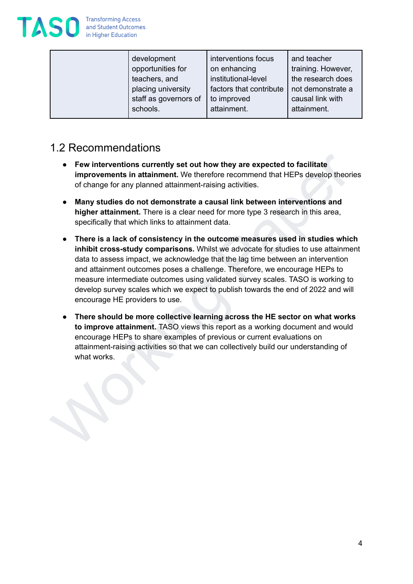

| attainment.<br>attainment.<br>schools. |
|----------------------------------------|
|----------------------------------------|

## <span id="page-3-0"></span>1.2 Recommendations

- **Few interventions currently set out how they are expected to facilitate improvements in attainment.** We therefore recommend that HEPs develop theories of change for any planned attainment-raising activities.
- **Many studies do not demonstrate a causal link between interventions and higher attainment.** There is a clear need for more type 3 research in this area, specifically that which links to attainment data.
- Few interventions currently set out how they are expected to facilitate<br>
improvements in attainment. We therefore recommend that HEPs develop theories<br>
of change for any planned attainment-atising activities.<br>
 Mapy st ● **There is a lack of consistency in the outcome measures used in studies which inhibit cross-study comparisons.** Whilst we advocate for studies to use attainment data to assess impact, we acknowledge that the lag time between an intervention and attainment outcomes poses a challenge. Therefore, we encourage HEPs to measure intermediate outcomes using validated survey scales. TASO is working to develop survey scales which we expect to publish towards the end of 2022 and will encourage HE providers to use.
	- **There should be more collective learning across the HE sector on what works to improve attainment.** TASO views this report as a working document and would encourage HEPs to share examples of previous or current evaluations on attainment-raising activities so that we can collectively build our understanding of what works.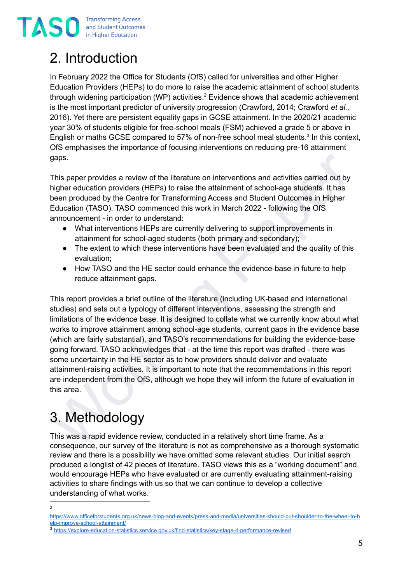**TASC** Iransforming Access<br>in Higher Education

# <span id="page-4-0"></span>2. Introduction

In February 2022 the Office for Students (OfS) called for universities and other Higher Education Providers (HEPs) to do more to raise the academic attainment of school students through widening participation (WP) activities. <sup>2</sup> Evidence shows that academic achievement is the most important predictor of university progression (Crawford, 2014; Crawford *et al.,* 2016). Yet there are persistent equality gaps in GCSE attainment. In the 2020/21 academic year 30% of students eligible for free-school meals (FSM) achieved a grade 5 or above in English or maths GCSE compared to 57% of non-free school meal students.<sup>3</sup> In this context, OfS emphasises the importance of focusing interventions on reducing pre-16 attainment gaps.

This paper provides a review of the literature on interventions and activities carried out by higher education providers (HEPs) to raise the attainment of school-age students. It has been produced by the Centre for Transforming Access and Student Outcomes in Higher Education (TASO). TASO commenced this work in March 2022 - following the OfS announcement - in order to understand:

- What interventions HEPs are currently delivering to support improvements in attainment for school-aged students (both primary and secondary);
- The extent to which these interventions have been evaluated and the quality of this evaluation;
- How TASO and the HE sector could enhance the evidence-base in future to help reduce attainment gaps.

gaps.<br>
This paper provides a review of the literature on interventions and activities carried out by<br>
higher education providers (HEPs) to raise the attainment of school-age students. It has<br>
been produced by the Centre f This report provides a brief outline of the literature (including UK-based and international studies) and sets out a typology of different interventions, assessing the strength and limitations of the evidence base. It is designed to collate what we currently know about what works to improve attainment among school-age students, current gaps in the evidence base (which are fairly substantial), and TASO's recommendations for building the evidence-base going forward. TASO acknowledges that - at the time this report was drafted - there was some uncertainty in the HE sector as to how providers should deliver and evaluate attainment-raising activities. It is important to note that the recommendations in this report are independent from the OfS, although we hope they will inform the future of evaluation in this area.

# <span id="page-4-1"></span>3. Methodology

This was a rapid evidence review, conducted in a relatively short time frame. As a consequence, our survey of the literature is not as comprehensive as a thorough systematic review and there is a possibility we have omitted some relevant studies. Our initial search produced a longlist of 42 pieces of literature. TASO views this as a "working document" and would encourage HEPs who have evaluated or are currently evaluating attainment-raising activities to share findings with us so that we can continue to develop a collective understanding of what works.

 $\overline{2}$ 

[https://www.officeforstudents.org.uk/news-blog-and-events/press-and-media/universities-should-put-shoulder-to-the-wheel-to-h](https://www.officeforstudents.org.uk/news-blog-and-events/press-and-media/universities-should-put-shoulder-to-the-wheel-to-help-improve-school-attainment/) [elp-improve-school-attainment/](https://www.officeforstudents.org.uk/news-blog-and-events/press-and-media/universities-should-put-shoulder-to-the-wheel-to-help-improve-school-attainment/)

<sup>3</sup> <https://explore-education-statistics.service.gov.uk/find-statistics/key-stage-4-performance-revised>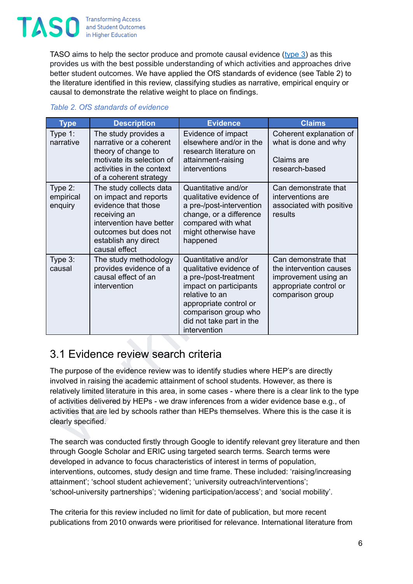

TASO aims to help the sector produce and promote causal evidence ([type](https://taso.org.uk/evidence/toolkit/what-is-causal-evidence/) 3) as this provides us with the best possible understanding of which activities and approaches drive better student outcomes. We have applied the OfS standards of evidence (see Table 2) to the literature identified in this review, classifying studies as narrative, empirical enquiry or causal to demonstrate the relative weight to place on findings.

| <b>Type</b>                                                                                                                                                                                                                                                                                                                                                                                                                                                                                                                                                                                           | <b>Description</b>                                                                                                                                                                    | <b>Evidence</b>                                                                                                                                                                                                   | <b>Claims</b>                                                                                                         |  |  |
|-------------------------------------------------------------------------------------------------------------------------------------------------------------------------------------------------------------------------------------------------------------------------------------------------------------------------------------------------------------------------------------------------------------------------------------------------------------------------------------------------------------------------------------------------------------------------------------------------------|---------------------------------------------------------------------------------------------------------------------------------------------------------------------------------------|-------------------------------------------------------------------------------------------------------------------------------------------------------------------------------------------------------------------|-----------------------------------------------------------------------------------------------------------------------|--|--|
| Type 1:<br>narrative                                                                                                                                                                                                                                                                                                                                                                                                                                                                                                                                                                                  | The study provides a<br>narrative or a coherent<br>theory of change to<br>motivate its selection of<br>activities in the context<br>of a coherent strategy                            | Evidence of impact<br>elsewhere and/or in the<br>research literature on<br>attainment-raising<br>interventions                                                                                                    | Coherent explanation of<br>what is done and why<br>Claims are<br>research-based                                       |  |  |
| Type 2:<br>empirical<br>enquiry                                                                                                                                                                                                                                                                                                                                                                                                                                                                                                                                                                       | The study collects data<br>on impact and reports<br>evidence that those<br>receiving an<br>intervention have better<br>outcomes but does not<br>establish any direct<br>causal effect | Quantitative and/or<br>qualitative evidence of<br>a pre-/post-intervention<br>change, or a difference<br>compared with what<br>might otherwise have<br>happened                                                   | Can demonstrate that<br>interventions are<br>associated with positive<br>results                                      |  |  |
| Type 3:<br>causal                                                                                                                                                                                                                                                                                                                                                                                                                                                                                                                                                                                     | The study methodology<br>provides evidence of a<br>causal effect of an<br>intervention                                                                                                | Quantitative and/or<br>qualitative evidence of<br>a pre-/post-treatment<br>impact on participants<br>relative to an<br>appropriate control or<br>comparison group who<br>did not take part in the<br>intervention | Can demonstrate that<br>the intervention causes<br>improvement using an<br>appropriate control or<br>comparison group |  |  |
| 3.1 Evidence review search criteria                                                                                                                                                                                                                                                                                                                                                                                                                                                                                                                                                                   |                                                                                                                                                                                       |                                                                                                                                                                                                                   |                                                                                                                       |  |  |
| The purpose of the evidence review was to identify studies where HEP's are directly<br>involved in raising the academic attainment of school students. However, as there is<br>relatively limited literature in this area, in some cases - where there is a clear link to the type<br>of activities delivered by HEPs - we draw inferences from a wider evidence base e.g., of<br>activities that are led by schools rather than HEPs themselves. Where this is the case it is<br>clearly specified.<br>The search was conducted firstly through Google to identify relevant grey literature and then |                                                                                                                                                                                       |                                                                                                                                                                                                                   |                                                                                                                       |  |  |
|                                                                                                                                                                                                                                                                                                                                                                                                                                                                                                                                                                                                       |                                                                                                                                                                                       |                                                                                                                                                                                                                   |                                                                                                                       |  |  |

#### *Table 2. OfS standards of evidence*

### <span id="page-5-0"></span>3.1 Evidence review search criteria

The search was conducted firstly through Google to identify relevant grey literature and then through Google Scholar and ERIC using targeted search terms. Search terms were developed in advance to focus characteristics of interest in terms of population, interventions, outcomes, study design and time frame. These included: 'raising/increasing attainment'; 'school student achievement'; 'university outreach/interventions'; 'school-university partnerships'; 'widening participation/access'; and 'social mobility'.

The criteria for this review included no limit for date of publication, but more recent publications from 2010 onwards were prioritised for relevance. International literature from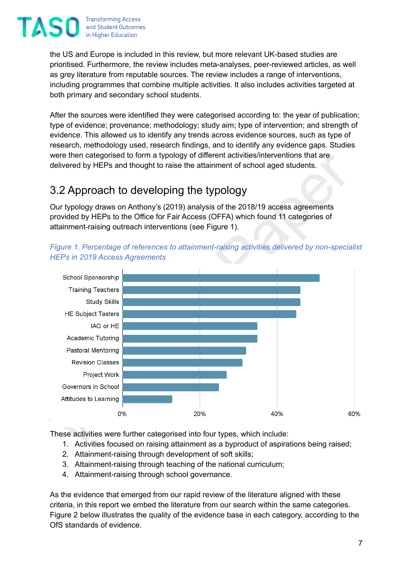

the US and Europe is included in this review, but more relevant UK-based studies are prioritised. Furthermore, the review includes meta-analyses, peer-reviewed articles, as well as grey literature from reputable sources. The review includes a range of interventions, including programmes that combine multiple activities. It also includes activities targeted at both primary and secondary school students.

After the sources were identified they were categorised according to: the year of publication; type of evidence; provenance; methodology; study aim; type of intervention; and strength of evidence. This allowed us to identify any trends across evidence sources, such as type of research, methodology used, research findings, and to identify any evidence gaps. Studies were then categorised to form a typology of different activities/interventions that are delivered by HEPs and thought to raise the attainment of school aged students.

### <span id="page-6-0"></span>3.2 Approach to developing the typology

Our typology draws on Anthony's (2019) analysis of the 2018/19 access agreements provided by HEPs to the Office for Fair Access (OFFA) which found 11 categories of attainment-raising outreach interventions (see Figure 1).



*Figure 1. Percentage of references to attainment-raising activities delivered by non-specialist HEPs in 2019 Access Agreements*

These activities were further categorised into four types, which include:

- 1. Activities focused on raising attainment as a byproduct of aspirations being raised;
- 2. Attainment-raising through development of soft skills;
- 3. Attainment-raising through teaching of the national curriculum;
- 4. Attainment-raising through school governance.

As the evidence that emerged from our rapid review of the literature aligned with these criteria, in this report we embed the literature from our search within the same categories. Figure 2 below illustrates the quality of the evidence base in each category, according to the OfS standards of evidence.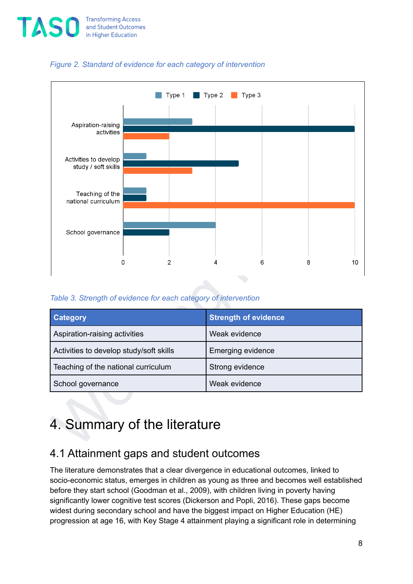



#### *Figure 2. Standard of evidence for each category of intervention*

#### *Table 3. Strength of evidence for each category of intervention*

| <b>Category</b>                         | <b>Strength of evidence</b> |
|-----------------------------------------|-----------------------------|
| Aspiration-raising activities           | Weak evidence               |
| Activities to develop study/soft skills | <b>Emerging evidence</b>    |
| Teaching of the national curriculum     | Strong evidence             |
| School governance                       | Weak evidence               |

## <span id="page-7-0"></span>4. Summary of the literature

### <span id="page-7-1"></span>4.1 Attainment gaps and student outcomes

The literature demonstrates that a clear divergence in educational outcomes, linked to socio-economic status, emerges in children as young as three and becomes well established before they start school (Goodman et al., 2009), with children living in poverty having significantly lower cognitive test scores (Dickerson and Popli, 2016). These gaps become widest during secondary school and have the biggest impact on Higher Education (HE) progression at age 16, with Key Stage 4 attainment playing a significant role in determining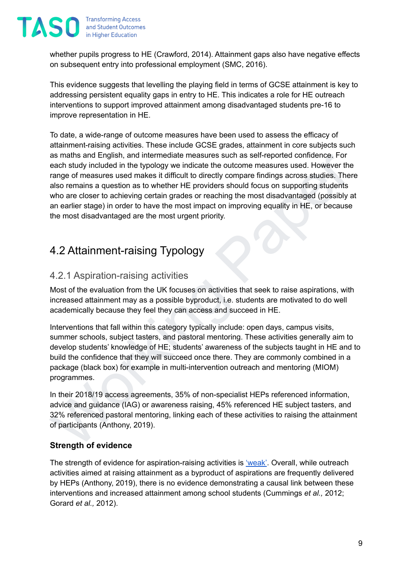

whether pupils progress to HE (Crawford, 2014). Attainment gaps also have negative effects on subsequent entry into professional employment (SMC, 2016).

This evidence suggests that levelling the playing field in terms of GCSE attainment is key to addressing persistent equality gaps in entry to HE. This indicates a role for HE outreach interventions to support improved attainment among disadvantaged students pre-16 to improve representation in HE.

as maths and English, and intermediate measures such as self-reported confidence, For each and Forgion and English and intermediate measures used. However the range of measures used makes it difficult to directly compare f To date, a wide-range of outcome measures have been used to assess the efficacy of attainment-raising activities. These include GCSE grades, attainment in core subjects such as maths and English, and intermediate measures such as self-reported confidence. For each study included in the typology we indicate the outcome measures used. However the range of measures used makes it difficult to directly compare findings across studies. There also remains a question as to whether HE providers should focus on supporting students who are closer to achieving certain grades or reaching the most disadvantaged (possibly at an earlier stage) in order to have the most impact on improving equality in HE, or because the most disadvantaged are the most urgent priority.

## <span id="page-8-0"></span>4.2 Attainment-raising Typology

#### <span id="page-8-1"></span>4.2.1 Aspiration-raising activities

Most of the evaluation from the UK focuses on activities that seek to raise aspirations, with increased attainment may as a possible byproduct, i.e. students are motivated to do well academically because they feel they can access and succeed in HE.

Interventions that fall within this category typically include: open days, campus visits, summer schools, subject tasters, and pastoral mentoring. These activities generally aim to develop students' knowledge of HE; students' awareness of the subjects taught in HE and to build the confidence that they will succeed once there. They are commonly combined in a package (black box) for example in multi-intervention outreach and mentoring (MIOM) programmes.

In their 2018/19 access agreements, 35% of non-specialist HEPs referenced information, advice and guidance (IAG) or awareness raising, 45% referenced HE subject tasters, and 32% referenced pastoral mentoring, linking each of these activities to raising the attainment of participants (Anthony, 2019).

#### **Strength of evidence**

The strength of evidence for aspiration-raising activities is ['weak'](https://taso.org.uk/evidence/evidence-standards/#:~:text=The%20TASO%20evidence%20strength%20rating,the%20OfS%20standards%20of%20evidence.). Overall, while outreach activities aimed at raising attainment as a byproduct of aspirations are frequently delivered by HEPs (Anthony, 2019), there is no evidence demonstrating a causal link between these interventions and increased attainment among school students (Cummings *et al.,* 2012; Gorard *et al.,* 2012).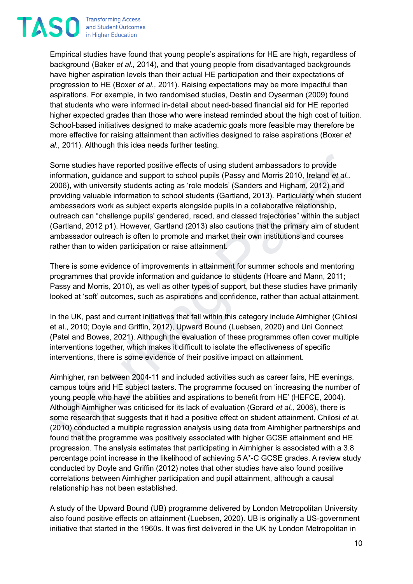**Transforming Access TASO** and Student Outcomes in Higher Education

> Empirical studies have found that young people's aspirations for HE are high, regardless of background (Baker *et al.,* 2014), and that young people from disadvantaged backgrounds have higher aspiration levels than their actual HE participation and their expectations of progression to HE (Boxer *et al.,* 2011). Raising expectations may be more impactful than aspirations. For example, in two randomised studies, Destin and Oyserman (2009) found that students who were informed in-detail about need-based financial aid for HE reported higher expected grades than those who were instead reminded about the high cost of tuition. School-based initiatives designed to make academic goals more feasible may therefore be more effective for raising attainment than activities designed to raise aspirations (Boxer *et al.,* 2011). Although this idea needs further testing.

> Some studies have reported positive effects of using student ambassadors to provide<br>information, guidance and support to school pupils (Passy and Morris 2010, Ireland et al.,<br>2006), with university students acting as "ole Some studies have reported positive effects of using student ambassadors to provide information, guidance and support to school pupils (Passy and Morris 2010, Ireland *et al.,* 2006), with university students acting as 'role models' (Sanders and Higham, 2012) and providing valuable information to school students (Gartland, 2013). Particularly when student ambassadors work as subject experts alongside pupils in a collaborative relationship, outreach can "challenge pupils' gendered, raced, and classed trajectories" within the subject (Gartland, 2012 p1). However, Gartland (2013) also cautions that the primary aim of student ambassador outreach is often to promote and market their own institutions and courses rather than to widen participation or raise attainment.

There is some evidence of improvements in attainment for summer schools and mentoring programmes that provide information and guidance to students (Hoare and Mann, 2011; Passy and Morris, 2010), as well as other types of support, but these studies have primarily looked at 'soft' outcomes, such as aspirations and confidence, rather than actual attainment.

In the UK, past and current initiatives that fall within this category include Aimhigher (Chilosi et al., 2010; Doyle and Griffin, 2012), Upward Bound (Luebsen, 2020) and Uni Connect (Patel and Bowes, 2021). Although the evaluation of these programmes often cover multiple interventions together, which makes it difficult to isolate the effectiveness of specific interventions, there is some evidence of their positive impact on attainment.

Aimhigher, ran between 2004-11 and included activities such as career fairs, HE evenings, campus tours and HE subject tasters. The programme focused on 'increasing the number of young people who have the abilities and aspirations to benefit from HE' (HEFCE, 2004). Although Aimhigher was criticised for its lack of evaluation (Gorard *et al.,* 2006), there is some research that suggests that it had a positive effect on student attainment. Chilosi *et al.* (2010) conducted a multiple regression analysis using data from Aimhigher partnerships and found that the programme was positively associated with higher GCSE attainment and HE progression. The analysis estimates that participating in Aimhigher is associated with a 3.8 percentage point increase in the likelihood of achieving 5 A\*-C GCSE grades. A review study conducted by Doyle and Griffin (2012) notes that other studies have also found positive correlations between Aimhigher participation and pupil attainment, although a causal relationship has not been established.

A study of the Upward Bound (UB) programme delivered by London Metropolitan University also found positive effects on attainment (Luebsen, 2020). UB is originally a US-government initiative that started in the 1960s. It was first delivered in the UK by London Metropolitan in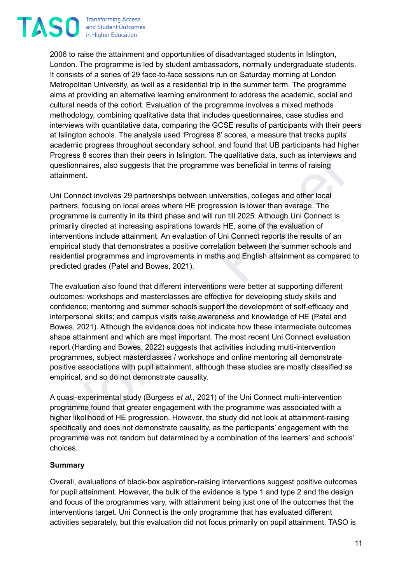**Transforming Access TAS0** and Student Outcomes in Higher Education

> 2006 to raise the attainment and opportunities of disadvantaged students in Islington, London. The programme is led by student ambassadors, normally undergraduate students. It consists of a series of 29 face-to-face sessions run on Saturday morning at London Metropolitan University, as well as a residential trip in the summer term. The programme aims at providing an alternative learning environment to address the academic, social and cultural needs of the cohort. Evaluation of the programme involves a mixed methods methodology, combining qualitative data that includes questionnaires, case studies and interviews with quantitative data, comparing the GCSE results of participants with their peers at Islington schools. The analysis used 'Progress 8' scores, a measure that tracks pupils' academic progress throughout secondary school, and found that UB participants had higher Progress 8 scores than their peers in Islington. The qualitative data, such as interviews and questionnaires, also suggests that the programme was beneficial in terms of raising attainment.

> Uni Connect involves 29 partnerships between universities, colleges and other local partners, focusing on local areas where HE progression is lower than average. The programme is currently in its third phase and will run till 2025. Although Uni Connect is primarily directed at increasing aspirations towards HE, some of the evaluation of interventions include attainment. An evaluation of Uni Connect reports the results of an empirical study that demonstrates a positive correlation between the summer schools and residential programmes and improvements in maths and English attainment as compared to predicted grades (Patel and Bowes, 2021).

Progress 8 scores than their peers in Islington. The qualitative data, such as interviews and<br>questionnaires, also suggests that the programme was beneficial in terms of raising<br>attainment.<br>Uni Connect involves 29 partners The evaluation also found that different interventions were better at supporting different outcomes: workshops and masterclasses are effective for developing study skills and confidence; mentoring and summer schools support the development of self-efficacy and interpersonal skills; and campus visits raise awareness and knowledge of HE (Patel and Bowes, 2021). Although the evidence does not indicate how these intermediate outcomes shape attainment and which are most important. The most recent Uni Connect evaluation report (Harding and Bowes, 2022) suggests that activities including multi-intervention programmes, subject masterclasses / workshops and online mentoring all demonstrate positive associations with pupil attainment, although these studies are mostly classified as empirical, and so do not demonstrate causality.

A quasi-experimental study (Burgess *et al.,* 2021) of the Uni Connect multi-intervention programme found that greater engagement with the programme was associated with a higher likelihood of HE progression. However, the study did not look at attainment-raising specifically and does not demonstrate causality, as the participants' engagement with the programme was not random but determined by a combination of the learners' and schools' choices.

#### **Summary**

Overall, evaluations of black-box aspiration-raising interventions suggest positive outcomes for pupil attainment. However, the bulk of the evidence is type 1 and type 2 and the design and focus of the programmes vary, with attainment being just one of the outcomes that the interventions target. Uni Connect is the only programme that has evaluated different activities separately, but this evaluation did not focus primarily on pupil attainment. TASO is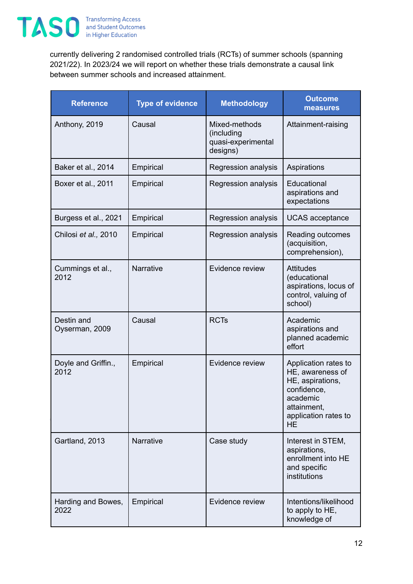

currently delivering 2 randomised controlled trials (RCTs) of summer schools (spanning 2021/22). In 2023/24 we will report on whether these trials demonstrate a causal link between summer schools and increased attainment.

| <b>Reference</b>             | <b>Type of evidence</b> | <b>Methodology</b>                                            | <b>Outcome</b><br>measures                                                                                                                  |
|------------------------------|-------------------------|---------------------------------------------------------------|---------------------------------------------------------------------------------------------------------------------------------------------|
| Anthony, 2019                | Causal                  | Mixed-methods<br>(including<br>quasi-experimental<br>designs) | Attainment-raising                                                                                                                          |
| Baker et al., 2014           | Empirical               | Regression analysis                                           | Aspirations                                                                                                                                 |
| Boxer et al., 2011           | Empirical               | Regression analysis                                           | Educational<br>aspirations and<br>expectations                                                                                              |
| Burgess et al., 2021         | Empirical               | Regression analysis                                           | <b>UCAS</b> acceptance                                                                                                                      |
| Chilosi et al., 2010         | Empirical               | Regression analysis                                           | Reading outcomes<br>(acquisition,<br>comprehension),                                                                                        |
| Cummings et al.,<br>2012     | Narrative               | Evidence review                                               | <b>Attitudes</b><br>(educational<br>aspirations, locus of<br>control, valuing of<br>school)                                                 |
| Destin and<br>Oyserman, 2009 | Causal                  | <b>RCTs</b>                                                   | Academic<br>aspirations and<br>planned academic<br>effort                                                                                   |
| Doyle and Griffin.,<br>2012  | Empirical               | Evidence review                                               | Application rates to<br>HE, awareness of<br>HE, aspirations,<br>confidence,<br>academic<br>attainment,<br>application rates to<br><b>HE</b> |
| Gartland, 2013               | <b>Narrative</b>        | Case study                                                    | Interest in STEM,<br>aspirations,<br>enrollment into HE<br>and specific<br>institutions                                                     |
| Harding and Bowes,<br>2022   | Empirical               | Evidence review                                               | Intentions/likelihood<br>to apply to HE,<br>knowledge of                                                                                    |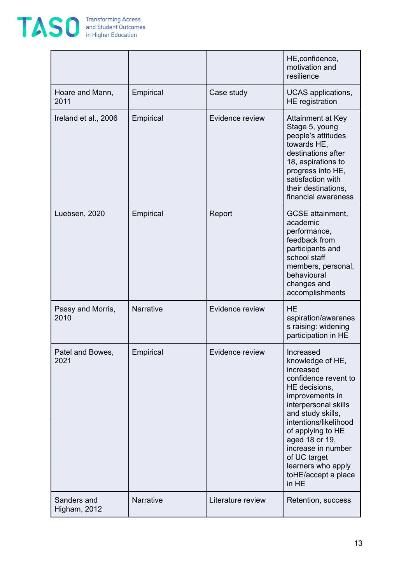

|                             |                  |                   | HE, confidence,<br>motivation and<br>resilience                                                                                                                                                                                                                                                                 |
|-----------------------------|------------------|-------------------|-----------------------------------------------------------------------------------------------------------------------------------------------------------------------------------------------------------------------------------------------------------------------------------------------------------------|
| Hoare and Mann,<br>2011     | Empirical        | Case study        | UCAS applications,<br>HE registration                                                                                                                                                                                                                                                                           |
| Ireland et al., 2006        | Empirical        | Evidence review   | Attainment at Key<br>Stage 5, young<br>people's attitudes<br>towards HE.<br>destinations after<br>18, aspirations to<br>progress into HE,<br>satisfaction with<br>their destinations,<br>financial awareness                                                                                                    |
| Luebsen, 2020               | Empirical        | Report            | <b>GCSE</b> attainment,<br>academic<br>performance,<br>feedback from<br>participants and<br>school staff<br>members, personal,<br>behavioural<br>changes and<br>accomplishments                                                                                                                                 |
| Passy and Morris,<br>2010   | <b>Narrative</b> | Evidence review   | <b>HE</b><br>aspiration/awarenes<br>s raising: widening<br>participation in HE                                                                                                                                                                                                                                  |
| Patel and Bowes,<br>2021    | Empirical        | Evidence review   | Increased<br>knowledge of HE,<br>increased<br>confidence revent to<br>HE decisions,<br>improvements in<br>interpersonal skills<br>and study skills,<br>intentions/likelihood<br>of applying to HE<br>aged 18 or 19,<br>increase in number<br>of UC target<br>learners who apply<br>toHE/accept a place<br>in HE |
| Sanders and<br>Higham, 2012 | Narrative        | Literature review | Retention, success                                                                                                                                                                                                                                                                                              |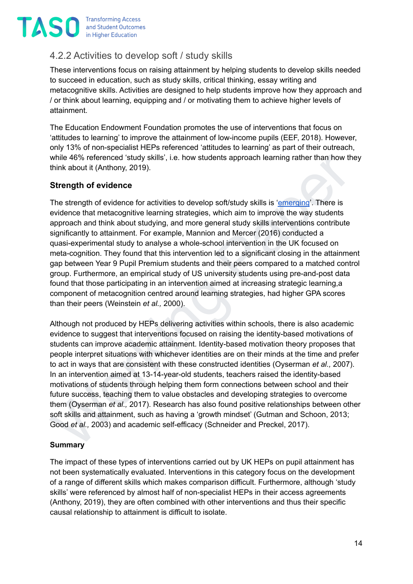

### <span id="page-13-0"></span>4.2.2 Activities to develop soft / study skills

These interventions focus on raising attainment by helping students to develop skills needed to succeed in education, such as study skills, critical thinking, essay writing and metacognitive skills. Activities are designed to help students improve how they approach and / or think about learning, equipping and / or motivating them to achieve higher levels of attainment.

The Education Endowment Foundation promotes the use of interventions that focus on 'attitudes to learning' to improve the attainment of low-income pupils (EEF, 2018). However, only 13% of non-specialist HEPs referenced 'attitudes to learning' as part of their outreach, while 46% referenced 'study skills', i.e. how students approach learning rather than how they think about it (Anthony, 2019).

#### **Strength of evidence**

while 46% referenced 'study skills', i.e. how students approach learning rather than how they<br>think about it (Anthony, 2019).<br> **Strength of evidence** for activities to develop soft/study skills is '<u>emercin</u>g'. There is<br> The strength of evidence for activities to develop soft/study skills is 'emerging'. There is evidence that metacognitive learning strategies, which aim to improve the way students approach and think about studying, and more general study skills interventions contribute significantly to attainment. For example, Mannion and Mercer (2016) conducted a quasi-experimental study to analyse a whole-school intervention in the UK focused on meta-cognition. They found that this intervention led to a significant closing in the attainment gap between Year 9 Pupil Premium students and their peers compared to a matched control group. Furthermore, an empirical study of US university students using pre-and-post data found that those participating in an intervention aimed at increasing strategic learning,a component of metacognition centred around learning strategies, had higher GPA scores than their peers (Weinstein *et al.,* 2000).

Although not produced by HEPs delivering activities within schools, there is also academic evidence to suggest that interventions focused on raising the identity-based motivations of students can improve academic attainment. Identity-based motivation theory proposes that people interpret situations with whichever identities are on their minds at the time and prefer to act in ways that are consistent with these constructed identities (Oyserman *et al.,* 2007). In an intervention aimed at 13-14-year-old students, teachers raised the identity-based motivations of students through helping them form connections between school and their future success, teaching them to value obstacles and developing strategies to overcome them (Oyserman *et al.,* 2017). Research has also found positive relationships between other soft skills and attainment, such as having a 'growth mindset' (Gutman and Schoon, 2013; Good *et al.,* 2003) and academic self-efficacy (Schneider and Preckel, 2017).

#### **Summary**

The impact of these types of interventions carried out by UK HEPs on pupil attainment has not been systematically evaluated. Interventions in this category focus on the development of a range of different skills which makes comparison difficult. Furthermore, although 'study skills' were referenced by almost half of non-specialist HEPs in their access agreements (Anthony, 2019), they are often combined with other interventions and thus their specific causal relationship to attainment is difficult to isolate.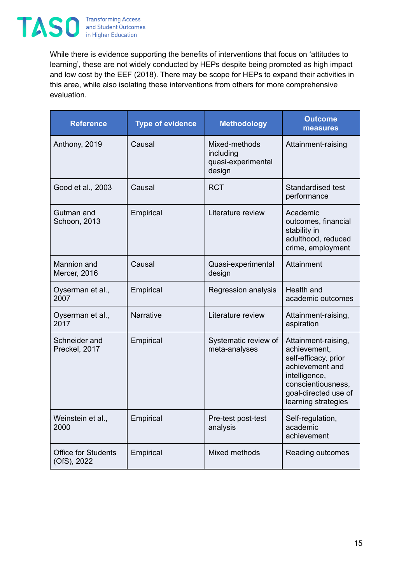

While there is evidence supporting the benefits of interventions that focus on 'attitudes to learning', these are not widely conducted by HEPs despite being promoted as high impact and low cost by the EEF (2018). There may be scope for HEPs to expand their activities in this area, while also isolating these interventions from others for more comprehensive evaluation.

| <b>Reference</b>                          | <b>Type of evidence</b> | <b>Methodology</b>                                         | <b>Outcome</b><br>measures                                                                                                                                           |
|-------------------------------------------|-------------------------|------------------------------------------------------------|----------------------------------------------------------------------------------------------------------------------------------------------------------------------|
| Anthony, 2019                             | Causal                  | Mixed-methods<br>including<br>quasi-experimental<br>design | Attainment-raising                                                                                                                                                   |
| Good et al., 2003                         | Causal                  | <b>RCT</b>                                                 | Standardised test<br>performance                                                                                                                                     |
| Gutman and<br>Schoon, 2013                | Empirical               | Literature review                                          | Academic<br>outcomes, financial<br>stability in<br>adulthood, reduced<br>crime, employment                                                                           |
| <b>Mannion</b> and<br>Mercer, 2016        | Causal                  | Quasi-experimental<br>design                               | Attainment                                                                                                                                                           |
| Oyserman et al.,<br>2007                  | Empirical               | Regression analysis                                        | Health and<br>academic outcomes                                                                                                                                      |
| Oyserman et al.,<br>2017                  | <b>Narrative</b>        | Literature review                                          | Attainment-raising,<br>aspiration                                                                                                                                    |
| Schneider and<br>Preckel, 2017            | Empirical               | Systematic review of<br>meta-analyses                      | Attainment-raising,<br>achievement,<br>self-efficacy, prior<br>achievement and<br>intelligence,<br>conscientiousness,<br>goal-directed use of<br>learning strategies |
| Weinstein et al.,<br>2000                 | Empirical               | Pre-test post-test<br>analysis                             | Self-regulation,<br>academic<br>achievement                                                                                                                          |
| <b>Office for Students</b><br>(OfS), 2022 | Empirical               | Mixed methods                                              | Reading outcomes                                                                                                                                                     |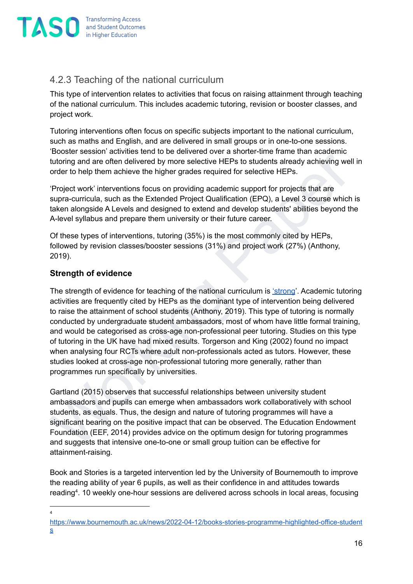

### <span id="page-15-0"></span>4.2.3 Teaching of the national curriculum

This type of intervention relates to activities that focus on raising attainment through teaching of the national curriculum. This includes academic tutoring, revision or booster classes, and project work.

Tutoring interventions often focus on specific subjects important to the national curriculum, such as maths and English, and are delivered in small groups or in one-to-one sessions. 'Booster session' activities tend to be delivered over a shorter-time frame than academic tutoring and are often delivered by more selective HEPs to students already achieving well in order to help them achieve the higher grades required for selective HEPs.

'Project work' interventions focus on providing academic support for projects that are supra-curricula, such as the Extended Project Qualification (EPQ), a Level 3 course which is taken alongside A Levels and designed to extend and develop students' abilities beyond the A-level syllabus and prepare them university or their future career.

Of these types of interventions, tutoring (35%) is the most commonly cited by HEPs, followed by revision classes/booster sessions (31%) and project work (27%) (Anthony, 2019).

#### **Strength of evidence**

book. Continue and the different and the control of the paper and the paper selective HEPs to students already achieving well in order to help them achieve the higher grades required for selective HEPs. They incert to help The strength of evidence for teaching of the national curriculum is ['strong](https://taso.org.uk/evidence/evidence-standards/#:~:text=The%20TASO%20evidence%20strength%20rating,the%20OfS%20standards%20of%20evidence.)'. Academic tutoring activities are frequently cited by HEPs as the dominant type of intervention being delivered to raise the attainment of school students (Anthony, 2019). This type of tutoring is normally conducted by undergraduate student ambassadors, most of whom have little formal training, and would be categorised as cross-age non-professional peer tutoring. Studies on this type of tutoring in the UK have had mixed results. Torgerson and King (2002) found no impact when analysing four RCTs where adult non-professionals acted as tutors. However, these studies looked at cross-age non-professional tutoring more generally, rather than programmes run specifically by universities.

Gartland (2015) observes that successful relationships between university student ambassadors and pupils can emerge when ambassadors work collaboratively with school students, as equals. Thus, the design and nature of tutoring programmes will have a significant bearing on the positive impact that can be observed. The Education Endowment Foundation (EEF, 2014) provides advice on the optimum design for tutoring programmes and suggests that intensive one-to-one or small group tuition can be effective for attainment-raising.

Book and Stories is a targeted intervention led by the University of Bournemouth to improve the reading ability of year 6 pupils, as well as their confidence in and attitudes towards reading 4 . 10 weekly one-hour sessions are delivered across schools in local areas, focusing

4

[https://www.bournemouth.ac.uk/news/2022-04-12/books-stories-programme-highlighted-office-student](https://www.bournemouth.ac.uk/news/2022-04-12/books-stories-programme-highlighted-office-students) [s](https://www.bournemouth.ac.uk/news/2022-04-12/books-stories-programme-highlighted-office-students)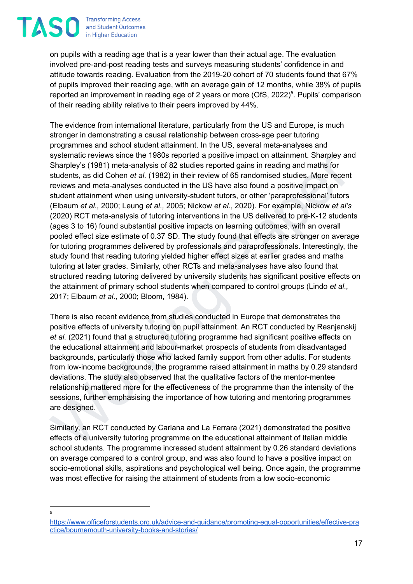

on pupils with a reading age that is a year lower than their actual age. The evaluation involved pre-and-post reading tests and surveys measuring students' confidence in and attitude towards reading. Evaluation from the 2019-20 cohort of 70 students found that 67% of pupils improved their reading age, with an average gain of 12 months, while 38% of pupils reported an improvement in reading age of 2 years or more (OfS, 2022)<sup>5</sup>. Pupils' comparison of their reading ability relative to their peers improved by 44%.

sylematic reviews since the 1980s reported a positive impact on attainment. Sharpley saty and the matter of the methal middle sylematic reviews of 65 randomised studies. More recent reviews and redia-analysis of 82 studies The evidence from international literature, particularly from the US and Europe, is much stronger in demonstrating a causal relationship between cross-age peer tutoring programmes and school student attainment. In the US, several meta-analyses and systematic reviews since the 1980s reported a positive impact on attainment. Sharpley and Sharpley's (1981) meta-analysis of 82 studies reported gains in reading and maths for students, as did Cohen *et al.* (1982) in their review of 65 randomised studies. More recent reviews and meta-analyses conducted in the US have also found a positive impact on student attainment when using university-student tutors, or other 'paraprofessional' tutors (Elbaum *et al.,* 2000; Leung *et al.,* 2005; Nickow *et al.*, 2020). For example, Nickow *et al's* (2020) RCT meta-analysis of tutoring interventions in the US delivered to pre-K-12 students (ages 3 to 16) found substantial positive impacts on learning outcomes, with an overall pooled effect size estimate of 0.37 SD. The study found that effects are stronger on average for tutoring programmes delivered by professionals and paraprofessionals. Interestingly, the study found that reading tutoring yielded higher effect sizes at earlier grades and maths tutoring at later grades. Similarly, other RCTs and meta-analyses have also found that structured reading tutoring delivered by university students has significant positive effects on the attainment of primary school students when compared to control groups (Lindo *et al.,* 2017; Elbaum *et al.,* 2000; Bloom, 1984).

There is also recent evidence from studies conducted in Europe that demonstrates the positive effects of university tutoring on pupil attainment. An RCT conducted by Resnjanskij *et al.* (2021) found that a structured tutoring programme had significant positive effects on the educational attainment and labour-market prospects of students from disadvantaged backgrounds, particularly those who lacked family support from other adults. For students from low-income backgrounds, the programme raised attainment in maths by 0.29 standard deviations. The study also observed that the qualitative factors of the mentor-mentee relationship mattered more for the effectiveness of the programme than the intensity of the sessions, further emphasising the importance of how tutoring and mentoring programmes are designed.

Similarly, an RCT conducted by Carlana and La Ferrara (2021) demonstrated the positive effects of a university tutoring programme on the educational attainment of Italian middle school students. The programme increased student attainment by 0.26 standard deviations on average compared to a control group, and was also found to have a positive impact on socio-emotional skills, aspirations and psychological well being. Once again, the programme was most effective for raising the attainment of students from a low socio-economic

5

[https://www.officeforstudents.org.uk/advice-and-guidance/promoting-equal-opportunities/effective-pra](https://www.officeforstudents.org.uk/advice-and-guidance/promoting-equal-opportunities/effective-practice/bournemouth-university-books-and-stories/) [ctice/bournemouth-university-books-and-stories/](https://www.officeforstudents.org.uk/advice-and-guidance/promoting-equal-opportunities/effective-practice/bournemouth-university-books-and-stories/)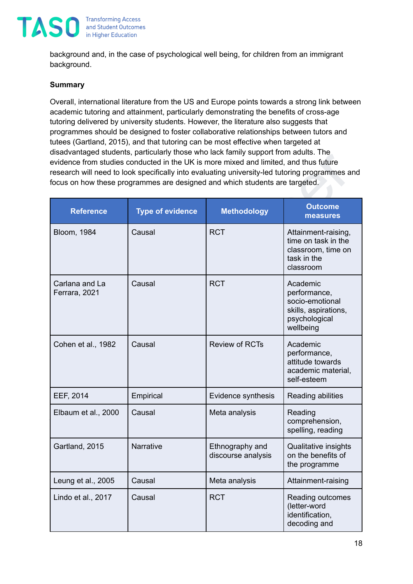

background and, in the case of psychological well being, for children from an immigrant background.

#### **Summary**

Overall, international literature from the US and Europe points towards a strong link between academic tutoring and attainment, particularly demonstrating the benefits of cross-age tutoring delivered by university students. However, the literature also suggests that programmes should be designed to foster collaborative relationships between tutors and tutees (Gartland, 2015), and that tutoring can be most effective when targeted at disadvantaged students, particularly those who lack family support from adults. The evidence from studies conducted in the UK is more mixed and limited, and thus future research will need to look specifically into evaluating university-led tutoring programmes and focus on how these programmes are designed and which students are targeted.

|                                 | research will need to look specifically into evaluating university-led tutoring programmes and<br>focus on how these programmes are designed and which students are targeted. |                                       |                                                                                                   |
|---------------------------------|-------------------------------------------------------------------------------------------------------------------------------------------------------------------------------|---------------------------------------|---------------------------------------------------------------------------------------------------|
| <b>Reference</b>                | <b>Type of evidence</b>                                                                                                                                                       | <b>Methodology</b>                    | <b>Outcome</b><br>measures                                                                        |
| <b>Bloom, 1984</b>              | Causal                                                                                                                                                                        | <b>RCT</b>                            | Attainment-raising,<br>time on task in the<br>classroom, time on<br>task in the<br>classroom      |
| Carlana and La<br>Ferrara, 2021 | Causal                                                                                                                                                                        | <b>RCT</b>                            | Academic<br>performance,<br>socio-emotional<br>skills, aspirations,<br>psychological<br>wellbeing |
| Cohen et al., 1982              | Causal                                                                                                                                                                        | <b>Review of RCTs</b>                 | Academic<br>performance,<br>attitude towards<br>academic material,<br>self-esteem                 |
| EEF, 2014                       | Empirical                                                                                                                                                                     | Evidence synthesis                    | Reading abilities                                                                                 |
| Elbaum et al., 2000             | Causal                                                                                                                                                                        | Meta analysis                         | Reading<br>comprehension,<br>spelling, reading                                                    |
| Gartland, 2015                  | <b>Narrative</b>                                                                                                                                                              | Ethnography and<br>discourse analysis | Qualitative insights<br>on the benefits of<br>the programme                                       |
| Leung et al., 2005              | Causal                                                                                                                                                                        | Meta analysis                         | Attainment-raising                                                                                |
| Lindo et al., 2017              | Causal                                                                                                                                                                        | <b>RCT</b>                            | Reading outcomes<br>(letter-word<br>identification,<br>decoding and                               |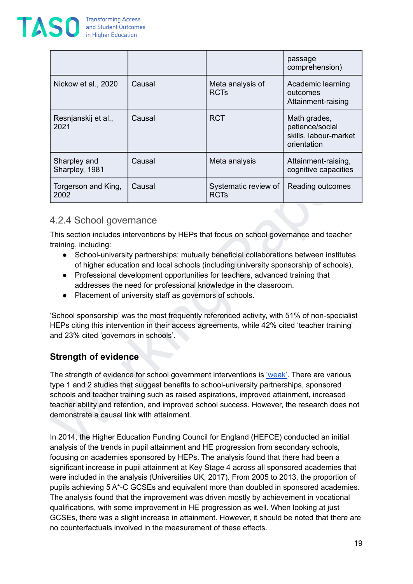

|                                                                                           |                                                                                                                                                                                                                                                                                                                                                                                                          |                                                                                       | passage<br>comprehension)                                               |  |
|-------------------------------------------------------------------------------------------|----------------------------------------------------------------------------------------------------------------------------------------------------------------------------------------------------------------------------------------------------------------------------------------------------------------------------------------------------------------------------------------------------------|---------------------------------------------------------------------------------------|-------------------------------------------------------------------------|--|
| Nickow et al., 2020                                                                       | Causal                                                                                                                                                                                                                                                                                                                                                                                                   | Meta analysis of<br><b>RCTs</b>                                                       | Academic learning<br>outcomes<br>Attainment-raising                     |  |
| Resnjanskij et al.,<br>2021                                                               | Causal                                                                                                                                                                                                                                                                                                                                                                                                   | <b>RCT</b>                                                                            | Math grades,<br>patience/social<br>skills, labour-market<br>orientation |  |
| Sharpley and<br>Sharpley, 1981                                                            | Causal                                                                                                                                                                                                                                                                                                                                                                                                   | Meta analysis                                                                         | Attainment-raising,<br>cognitive capacities                             |  |
| Torgerson and King,<br>2002                                                               | Causal                                                                                                                                                                                                                                                                                                                                                                                                   | Systematic review of<br><b>RCTs</b>                                                   | Reading outcomes                                                        |  |
| $\bullet$<br>and 23% cited 'governors in schools'.<br><b>Strength of evidence</b>         | Professional development opportunities for teachers, advanced training that<br>addresses the need for professional knowledge in the classroom.<br>Placement of university staff as governors of schools.<br>'School sponsorship' was the most frequently referenced activity, with 51% of non-specialist<br>HEPs citing this intervention in their access agreements, while 42% cited 'teacher training' |                                                                                       |                                                                         |  |
| The strength of evidence for school government interventions is 'weak'. There are various |                                                                                                                                                                                                                                                                                                                                                                                                          |                                                                                       |                                                                         |  |
| demonstrate a causal link with attainment.                                                | type 1 and 2 studies that suggest benefits to school-university partnerships, sponsored<br>schools and teacher training such as raised aspirations, improved attainment, increased<br>teacher ability and retention, and improved school success. However, the research does not                                                                                                                         |                                                                                       |                                                                         |  |
| In 2014, the Higher Education Funding Council for England (HEFCE) conducted an initial    |                                                                                                                                                                                                                                                                                                                                                                                                          | analysis of the trends in pupil attainment and HE progression from secondary schools. |                                                                         |  |

#### <span id="page-18-0"></span>4.2.4 School governance

- School-university partnerships: mutually beneficial collaborations between institutes of higher education and local schools (including university sponsorship of schools),
- Professional development opportunities for teachers, advanced training that addresses the need for professional knowledge in the classroom.
- Placement of university staff as governors of schools.

#### **Strength of evidence**

In 2014, the Higher Education Funding Council for England (HEFCE) conducted an initial analysis of the trends in pupil attainment and HE progression from secondary schools, focusing on academies sponsored by HEPs. The analysis found that there had been a significant increase in pupil attainment at Key Stage 4 across all sponsored academies that were included in the analysis (Universities UK, 2017). From 2005 to 2013, the proportion of pupils achieving 5 A\*-C GCSEs and equivalent more than doubled in sponsored academies. The analysis found that the improvement was driven mostly by achievement in vocational qualifications, with some improvement in HE progression as well. When looking at just GCSEs, there was a slight increase in attainment. However, it should be noted that there are no counterfactuals involved in the measurement of these effects.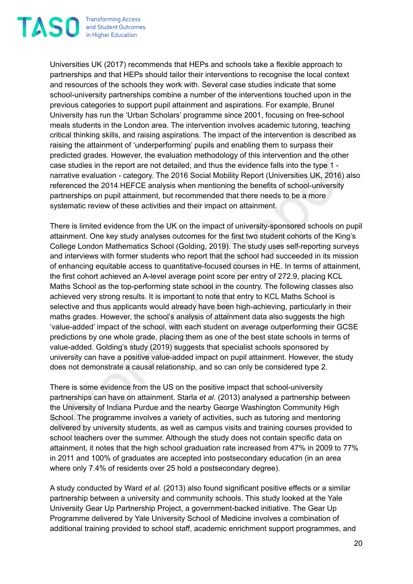

Universities UK (2017) recommends that HEPs and schools take a flexible approach to partnerships and that HEPs should tailor their interventions to recognise the local context and resources of the schools they work with. Several case studies indicate that some school-university partnerships combine a number of the interventions touched upon in the previous categories to support pupil attainment and aspirations. For example, Brunel University has run the 'Urban Scholars' programme since 2001, focusing on free-school meals students in the London area. The intervention involves academic tutoring, teaching critical thinking skills, and raising aspirations. The impact of the intervention is described as raising the attainment of 'underperforming' pupils and enabling them to surpass their predicted grades. However, the evaluation methodology of this intervention and the other case studies in the report are not detailed, and thus the evidence falls into the type 1 narrative evaluation - category. The 2016 Social Mobility Report (Universities UK, 2016) also referenced the 2014 HEFCE analysis when mentioning the benefits of school-university partnerships on pupil attainment, but recommended that there needs to be a more systematic review of these activities and their impact on attainment.

predicted grades. However, the evaluation methodology of this intervention and the other<br>persection and the other scale studies in the report are not detailed, and thus the widence falls into the yer 1-<br>narrative evaluatio There is limited evidence from the UK on the impact of university-sponsored schools on pupil attainment. One key study analyses outcomes for the first two student cohorts of the King's College London Mathematics School (Golding, 2019). The study uses self-reporting surveys and interviews with former students who report that the school had succeeded in its mission of enhancing equitable access to quantitative-focused courses in HE. In terms of attainment, the first cohort achieved an A-level average point score per entry of 272.9, placing KCL Maths School as the top-performing state school in the country. The following classes also achieved very strong results. It is important to note that entry to KCL Maths School is selective and thus applicants would already have been high-achieving, particularly in their maths grades. However, the school's analysis of attainment data also suggests the high 'value-added' impact of the school, with each student on average outperforming their GCSE predictions by one whole grade, placing them as one of the best state schools in terms of value-added. Golding's study (2019) suggests that specialist schools sponsored by university can have a positive value-added impact on pupil attainment. However, the study does not demonstrate a causal relationship, and so can only be considered type 2.

There is some evidence from the US on the positive impact that school-university partnerships can have on attainment. Starla *et al.* (2013) analysed a partnership between the University of Indiana Purdue and the nearby George Washington Community High School. The programme involves a variety of activities, such as tutoring and mentoring delivered by university students, as well as campus visits and training courses provided to school teachers over the summer. Although the study does not contain specific data on attainment, it notes that the high school graduation rate increased from 47% in 2009 to 77% in 2011 and 100% of graduates are accepted into postsecondary education (in an area where only 7.4% of residents over 25 hold a postsecondary degree).

A study conducted by Ward *et al.* (2013) also found significant positive effects or a similar partnership between a university and community schools. This study looked at the Yale University Gear Up Partnership Project, a government-backed initiative. The Gear Up Programme delivered by Yale University School of Medicine involves a combination of additional training provided to school staff, academic enrichment support programmes, and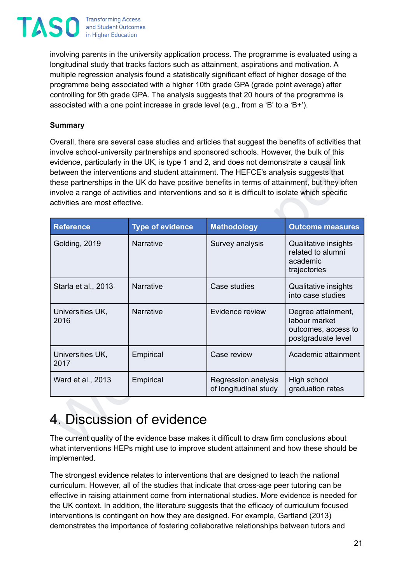**Transforming Access TASO** and Student Outcomes in Higher Education

> involving parents in the university application process. The programme is evaluated using a longitudinal study that tracks factors such as attainment, aspirations and motivation. A multiple regression analysis found a statistically significant effect of higher dosage of the programme being associated with a higher 10th grade GPA (grade point average) after controlling for 9th grade GPA. The analysis suggests that 20 hours of the programme is associated with a one point increase in grade level (e.g., from a 'B' to a 'B+').

#### **Summary**

Overall, there are several case studies and articles that suggest the benefits of activities that involve school-university partnerships and sponsored schools. However, the bulk of this evidence, particularly in the UK, is type 1 and 2, and does not demonstrate a causal link between the interventions and student attainment. The HEFCE's analysis suggests that these partnerships in the UK do have positive benefits in terms of attainment, but they often involve a range of activities and interventions and so it is difficult to isolate which specific activities are most effective.

| activities are most effective. |                         |                                              |                                                                                  |
|--------------------------------|-------------------------|----------------------------------------------|----------------------------------------------------------------------------------|
| <b>Reference</b>               | <b>Type of evidence</b> | <b>Methodology</b>                           | <b>Outcome measures</b>                                                          |
| Golding, 2019                  | <b>Narrative</b>        | Survey analysis                              | Qualitative insights<br>related to alumni<br>academic<br>trajectories            |
| Starla et al., 2013            | <b>Narrative</b>        | Case studies                                 | Qualitative insights<br>into case studies                                        |
| Universities UK,<br>2016       | Narrative               | Evidence review                              | Degree attainment,<br>labour market<br>outcomes, access to<br>postgraduate level |
| Universities UK,<br>2017       | Empirical               | Case review                                  | Academic attainment                                                              |
| Ward et al., 2013              | Empirical               | Regression analysis<br>of longitudinal study | High school<br>graduation rates                                                  |

## <span id="page-20-0"></span>4. Discussion of evidence

The current quality of the evidence base makes it difficult to draw firm conclusions about what interventions HEPs might use to improve student attainment and how these should be implemented.

The strongest evidence relates to interventions that are designed to teach the national curriculum. However, all of the studies that indicate that cross-age peer tutoring can be effective in raising attainment come from international studies. More evidence is needed for the UK context. In addition, the literature suggests that the efficacy of curriculum focused interventions is contingent on how they are designed. For example, Gartland (2013) demonstrates the importance of fostering collaborative relationships between tutors and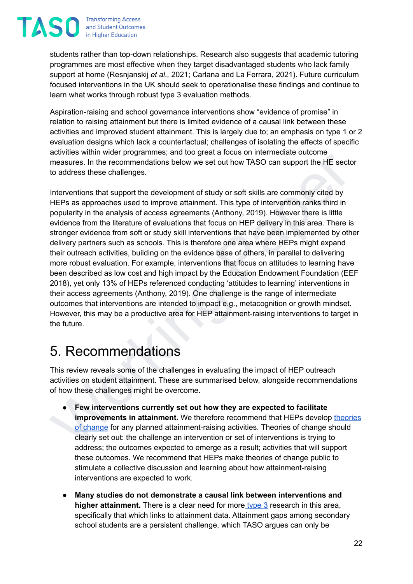

students rather than top-down relationships. Research also suggests that academic tutoring programmes are most effective when they target disadvantaged students who lack family support at home (Resnjanskij *et al.,* 2021; Carlana and La Ferrara, 2021). Future curriculum focused interventions in the UK should seek to operationalise these findings and continue to learn what works through robust type 3 evaluation methods.

Aspiration-raising and school governance interventions show "evidence of promise" in relation to raising attainment but there is limited evidence of a causal link between these activities and improved student attainment. This is largely due to; an emphasis on type 1 or 2 evaluation designs which lack a counterfactual; challenges of isolating the effects of specific activities within wider programmes; and too great a focus on intermediate outcome measures. In the recommendations below we set out how TASO can support the HE sector to address these challenges.

ativities while the tectors and to the complete and cost of the present and the membershing the membershing the membershing of the tector of didress these challenges.<br>
Interventions that support the development of study or Interventions that support the development of study or soft skills are commonly cited by HEPs as approaches used to improve attainment. This type of intervention ranks third in popularity in the analysis of access agreements (Anthony, 2019). However there is little evidence from the literature of evaluations that focus on HEP delivery in this area. There is stronger evidence from soft or study skill interventions that have been implemented by other delivery partners such as schools. This is therefore one area where HEPs might expand their outreach activities, building on the evidence base of others, in parallel to delivering more robust evaluation. For example, interventions that focus on attitudes to learning have been described as low cost and high impact by the Education Endowment Foundation (EEF 2018), yet only 13% of HEPs referenced conducting 'attitudes to learning' interventions in their access agreements (Anthony, 2019). One challenge is the range of intermediate outcomes that interventions are intended to impact e.g., metacognition or growth mindset. However, this may be a productive area for HEP attainment-raising interventions to target in the future.

## <span id="page-21-0"></span>5. Recommendations

This review reveals some of the challenges in evaluating the impact of HEP outreach activities on student attainment. These are summarised below, alongside recommendations of how these challenges might be overcome.

- **Few interventions currently set out how they are expected to facilitate improvements in attainment.** We therefore recommend that HEPs develop [theories](https://taso.org.uk/evidence/our-approach-to-evaluation/step-1-diagnose/) of change for any planned attainment-raising activities. Theories of change should clearly set out: the challenge an intervention or set of interventions is trying to address; the outcomes expected to emerge as a result; activities that will support these outcomes. We recommend that HEPs make theories of change public to stimulate a collective discussion and learning about how attainment-raising interventions are expected to work.
- **Many studies do not demonstrate a causal link between interventions and higher attainment.** There is a clear need for more [type](https://taso.org.uk/evidence/evidence-standards/#:~:text=The%20TASO%20evidence%20strength%20rating,the%20OfS%20standards%20of%20evidence.) 3 research in this area, specifically that which links to attainment data. Attainment gaps among secondary school students are a persistent challenge, which TASO argues can only be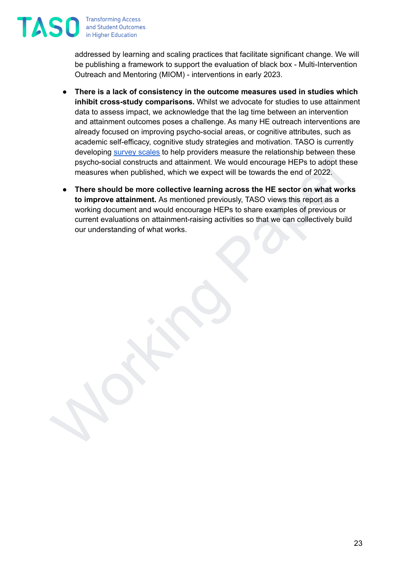**Transforming Access** and Student Outcomes in Higher Education

**TAS** 

addressed by learning and scaling practices that facilitate significant change. We will be publishing a framework to support the evaluation of black box - Multi-Intervention Outreach and Mentoring (MIOM) - interventions in early 2023.

- **There is a lack of consistency in the outcome measures used in studies which inhibit cross-study comparisons.** Whilst we advocate for studies to use attainment data to assess impact, we acknowledge that the lag time between an intervention and attainment outcomes poses a challenge. As many HE outreach interventions are already focused on improving psycho-social areas, or cognitive attributes, such as academic self-efficacy, cognitive study strategies and motivation. TASO is currently developing [survey](https://taso.org.uk/news-item/taso-announces-partners-for-new-project-on-survey-design-and-validation/) scales to help providers measure the relationship between these psycho-social constructs and attainment. We would encourage HEPs to adopt these measures when published, which we expect will be towards the end of 2022.
- eveloping solved and tail the method of the method of the state of the terminolectic material the expect will be towards the end of 2022.<br>
There should be more collactive learning across the HE s to adopt these<br>
measures w ● **There should be more collective learning across the HE sector on what works to improve attainment.** As mentioned previously, TASO views this report as a working document and would encourage HEPs to share examples of previous or current evaluations on attainment-raising activities so that we can collectively build our understanding of what works.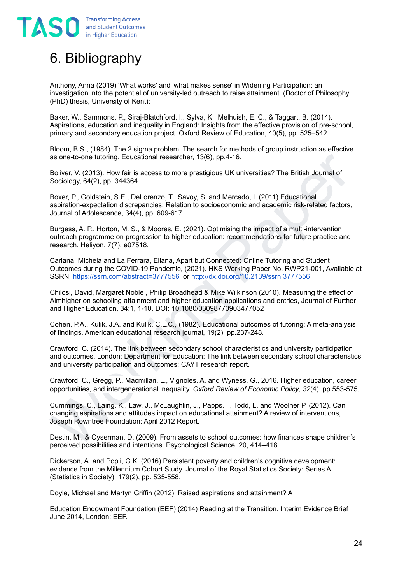## <span id="page-23-0"></span>6. Bibliography

Anthony, Anna (2019) 'What works' and 'what makes sense' in Widening Participation: an investigation into the potential of university-led outreach to raise attainment. (Doctor of Philosophy (PhD) thesis, University of Kent):

Baker, W., Sammons, P., Siraj-Blatchford, I., Sylva, K., Melhuish, E. C., & Taggart, B. (2014). Aspirations, education and inequality in England: Insights from the effective provision of pre-school, primary and secondary education project. Oxford Review of Education, 40(5), pp. 525–542.

Bloom, B.S., (1984). The 2 sigma problem: The search for methods of group instruction as effective as one-to-one tutoring. Educational researcher, 13(6), pp.4-16.

Boliver, V. (2013). How fair is access to more prestigious UK universities? The British Journal of Sociology, 64(2), pp. 344364.

Boxer, P., Goldstein, S.E., DeLorenzo, T., Savoy, S. and Mercado, I. (2011) Educational aspiration-expectation discrepancies: Relation to socioeconomic and academic risk-related factors, Journal of Adolescence, 34(4), pp. 609-617.

Burgess, A. P., Horton, M. S., & Moores, E. (2021). Optimising the impact of a multi-intervention outreach programme on progression to higher education: recommendations for future practice and research. Heliyon, 7(7), e07518.

Carlana, Michela and La Ferrara, Eliana, Apart but Connected: Online Tutoring and Student Outcomes during the COVID-19 Pandemic, (2021). HKS Working Paper No. RWP21-001, Available at SSRN: <https://ssrn.com/abstract=3777556> or <http://dx.doi.org/10.2139/ssrn.3777556>

as one-to-one lutoring. Educational researcher, 13(6), pp.4-16.<br>
Boliver, V. (2013). How fair is access to more prestigious UK universities? The British Journal of<br>
Sociology, 64(2), How fair is access to more prestigious Chilosi, David, Margaret Noble , Philip Broadhead & Mike Wilkinson (2010). Measuring the effect of Aimhigher on schooling attainment and higher education applications and entries, Journal of Further and Higher Education, 34:1, 1-10, DOI: 10.1080/03098770903477052

Cohen, P.A., Kulik, J.A. and Kulik, C.L.C., (1982). Educational outcomes of tutoring: A meta-analysis of findings. American educational research journal, 19(2), pp.237-248.

Crawford, C. (2014). The link between secondary school characteristics and university participation and outcomes, London: Department for Education: The link between secondary school characteristics and university participation and outcomes: CAYT research report.

Crawford, C., Gregg, P., Macmillan, L., Vignoles, A. and Wyness, G., 2016. Higher education, career opportunities, and intergenerational inequality. *Oxford Review of Economic Policy*, *32*(4), pp.553-575.

Cummings, C., Laing, K., Law, J., McLaughlin, J., Papps, I., Todd, L. and Woolner P. (2012). Can changing aspirations and attitudes impact on educational attainment? A review of interventions, Joseph Rowntree Foundation: April 2012 Report.

Destin, M., & Oyserman, D. (2009). From assets to school outcomes: how finances shape children's perceived possibilities and intentions. Psychological Science, 20, 414–418

Dickerson, A. and Popli, G.K. (2016) Persistent poverty and children's cognitive development: evidence from the Millennium Cohort Study. Journal of the Royal Statistics Society: Series A (Statistics in Society), 179(2), pp. 535-558.

Doyle, Michael and Martyn Griffin (2012): Raised aspirations and attainment? A

Education Endowment Foundation (EEF) (2014) Reading at the Transition. Interim Evidence Brief June 2014, London: EEF.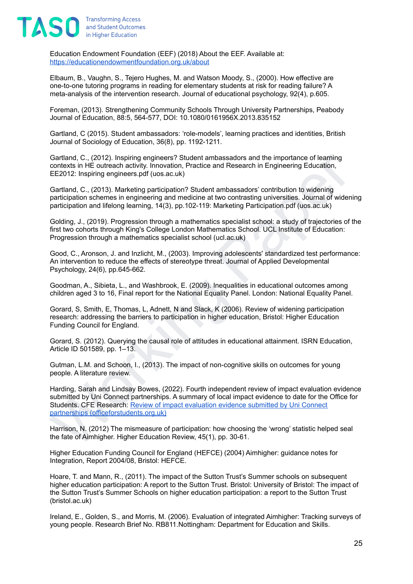

Education Endowment Foundation (EEF) (2018) About the EEF. Available at: <https://educationendowmentfoundation.org.uk/about>

Elbaum, B., Vaughn, S., Tejero Hughes, M. and Watson Moody, S., (2000). How effective are one-to-one tutoring programs in reading for elementary students at risk for reading failure? A meta-analysis of the intervention research. Journal of educational psychology, 92(4), p.605.

Foreman, (2013). Strengthening Community Schools Through University Partnerships, Peabody Journal of Education, 88:5, 564-577, DOI: 10.1080/0161956X.2013.835152

Gartland, C (2015). Student ambassadors: 'role-models', learning practices and identities, British Journal of Sociology of Education, 36(8), pp. 1192-1211.

Gartland, C., (2012). Inspiring engineers? Student ambassadors and the importance of learning contexts in HE outreach activity. Innovation, Practice and Research in Engineering Education, EE2012: Inspiring engineers.pdf (uos.ac.uk)

Gartland, C., (2013). Marketing participation? Student ambassadors' contribution to widening participation schemes in engineering and medicine at two contrasting universities. Journal of widening participation and lifelong learning, 14(3), pp.102-119: Marketing Participation.pdf (uos.ac.uk)

Golding, J., (2019). Progression through a mathematics specialist school: a study of trajectories of the first two cohorts through King's College London Mathematics School. UCL Institute of Education: Progression through a mathematics specialist school (ucl.ac.uk)

Good, C., Aronson, J. and Inzlicht, M., (2003). Improving adolescents' standardized test performance: An intervention to reduce the effects of stereotype threat. Journal of Applied Developmental Psychology, 24(6), pp.645-662.

Goodman, A., Sibieta, L., and Washbrook, E. (2009). Inequalities in educational outcomes among children aged 3 to 16, Final report for the National Equality Panel. London: National Equality Panel.

Gorard, S, Smith, E, Thomas, L, Adnett, N and Slack, K (2006). Review of widening participation research: addressing the barriers to participation in higher education, Bristol: Higher Education Funding Council for England.

Gorard, S. (2012). Querying the causal role of attitudes in educational attainment. ISRN Education, Article ID 501589, pp. 1–13.

Gutman, L.M. and Schoon, I., (2013). The impact of non-cognitive skills on outcomes for young people. A literature review.

Gardand, C., (2012). Inspring engineers? Student ambassadors and the importance of learning Contracts in HE outrosch controls, movation, Practice and Research in Engineering Education,<br>EE2012: Inspiring engineers port (uos Harding, Sarah and Lindsay Bowes, (2022). Fourth independent review of impact evaluation evidence submitted by Uni Connect partnerships. A summary of local impact evidence to date for the Office for Students. CFE Research: Review of impact evaluation evidence submitted by Uni Connect partnerships (officeforstudents.org.uk)

Harrison, N. (2012) The mismeasure of participation: how choosing the 'wrong' statistic helped seal the fate of Aimhigher. Higher Education Review, 45(1), pp. 30-61.

Higher Education Funding Council for England (HEFCE) (2004) Aimhigher: guidance notes for Integration, Report 2004/08, Bristol: HEFCE.

Hoare, T. and Mann, R., (2011). The impact of the Sutton Trust's Summer schools on subsequent higher education participation: A report to the Sutton Trust. Bristol: University of Bristol: The impact of the Sutton Trust's Summer Schools on higher education participation: a report to the Sutton Trust (bristol.ac.uk)

Ireland, E., Golden, S., and Morris, M. (2006). Evaluation of integrated Aimhigher: Tracking surveys of young people. Research Brief No. RB811.Nottingham: Department for Education and Skills.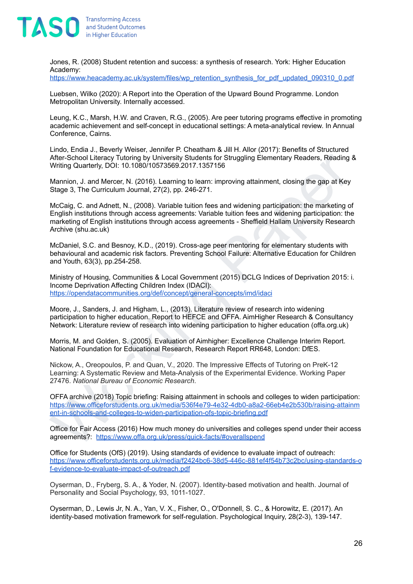

Jones, R. (2008) Student retention and success: a synthesis of research. York: Higher Education Academy:

[https://www.heacademy.ac.uk/system/files/wp\\_retention\\_synthesis\\_for\\_pdf\\_updated\\_090310\\_0.pdf](https://www.heacademy.ac.uk/system/files/wp_retention_synthesis_for_pdf_updated_090310_0.pdf)

Luebsen, Wilko (2020): A Report into the Operation of the Upward Bound Programme. London Metropolitan University. Internally accessed.

Leung, K.C., Marsh, H.W. and Craven, R.G., (2005). Are peer tutoring programs effective in promoting academic achievement and self-concept in educational settings: A meta-analytical review. In Annual Conference, Cairns.

Lindo, Endia J., Beverly Weiser, Jennifer P. Cheatham & Jill H. Allor (2017): Benefits of Structured After-School Literacy Tutoring by University Students for Struggling Elementary Readers, Reading & Writing Quarterly, DOI: 10.1080/10573569.2017.1357156

Mannion, J. and Mercer, N. (2016). Learning to learn: improving attainment, closing the gap at Key Stage 3, The Curriculum Journal, 27(2), pp. 246-271.

After-School Literacy Tutomiq by University Students for Struggling Elementary Readers, Reading & After-School Literacy Tutomiq by University Students for Struggling Elementary Readers, Reading & Mannion, J. and Mercer, N. McCaig, C. and Adnett, N., (2008). Variable tuition fees and widening participation: the marketing of English institutions through access agreements: Variable tuition fees and widening participation: the marketing of English institutions through access agreements - Sheffield Hallam University Research Archive (shu.ac.uk)

McDaniel, S.C. and Besnoy, K.D., (2019). Cross-age peer mentoring for elementary students with behavioural and academic risk factors. Preventing School Failure: Alternative Education for Children and Youth, 63(3), pp.254-258.

Ministry of Housing, Communities & Local Government (2015) DCLG Indices of Deprivation 2015: i. Income Deprivation Affecting Children Index (IDACI): <https://opendatacommunities.org/def/concept/general-concepts/imd/idaci>

Moore, J., Sanders, J. and Higham, L., (2013). Literature review of research into widening participation to higher education. Report to HEFCE and OFFA. AimHigher Research & Consultancy Network: Literature review of research into widening participation to higher education (offa.org.uk)

Morris, M. and Golden, S. (2005). Evaluation of Aimhigher: Excellence Challenge Interim Report. National Foundation for Educational Research, Research Report RR648, London: DfES.

Nickow, A., Oreopoulos, P. and Quan, V., 2020. The Impressive Effects of Tutoring on PreK-12 Learning: A Systematic Review and Meta-Analysis of the Experimental Evidence. Working Paper 27476. *National Bureau of Economic Research*.

OFFA archive (2018) Topic briefing: Raising attainment in schools and colleges to widen participation: [https://www.officeforstudents.org.uk/media/536f4e79-4e32-4db0-a8a2-66eb4e2b530b/raising-attainm](https://www.officeforstudents.org.uk/media/536f4e79-4e32-4db0-a8a2-66eb4e2b530b/raising-attainment-in-schools-and-colleges-to-widen-participation-ofs-topic-briefing.pdf) ent-in-schools-and-colleges-to-widen-participation-ofs-topic-briefing.pdf

Office for Fair Access (2016) How much money do universities and colleges spend under their access agreements?: <https://www.offa.org.uk/press/quick-facts/#overallspend>

Office for Students (OfS) (2019). Using standards of evidence to evaluate impact of outreach: [https://www.officeforstudents.org.uk/media/f2424bc6-38d5-446c-881ef4f54b73c2bc/using-standards-o](https://www.officeforstudents.org.uk/media/f2424bc6-38d5-446c-881ef4f54b73c2bc/using-standards-of-evidence-to-evaluate-impact-of-outreach.pdf) [f-evidence-to-evaluate-impact-of-outreach.pdf](https://www.officeforstudents.org.uk/media/f2424bc6-38d5-446c-881ef4f54b73c2bc/using-standards-of-evidence-to-evaluate-impact-of-outreach.pdf)

Oyserman, D., Fryberg, S. A., & Yoder, N. (2007). Identity-based motivation and health. Journal of Personality and Social Psychology, 93, 1011-1027.

Oyserman, D., Lewis Jr, N. A., Yan, V. X., Fisher, O., O'Donnell, S. C., & Horowitz, E. (2017). An identity-based motivation framework for self-regulation. Psychological Inquiry, 28(2-3), 139-147.